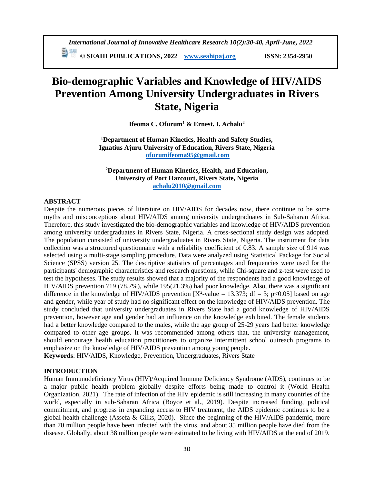# **Bio-demographic Variables and Knowledge of HIV/AIDS Prevention Among University Undergraduates in Rivers State, Nigeria**

**Ifeoma C. Ofurum<sup>1</sup> & Ernest. I. Achalu<sup>2</sup>**

**<sup>1</sup>Department of Human Kinetics, Health and Safety Studies, Ignatius Ajuru University of Education, Rivers State, Nigeria [ofurumifeoma95@gmail.com](mailto:ofurumifeoma95@gmail.com)**

**<sup>2</sup>Department of Human Kinetics, Health, and Education, University of Port Harcourt, Rivers State, Nigeria [achalu2010@gmail.com](mailto:achalu2010@gmail.com)**

# **ABSTRACT**

Despite the numerous pieces of literature on HIV/AIDS for decades now, there continue to be some myths and misconceptions about HIV/AIDS among university undergraduates in Sub-Saharan Africa. Therefore, this study investigated the bio-demographic variables and knowledge of HIV/AIDS prevention among university undergraduates in Rivers State, Nigeria. A cross-sectional study design was adopted. The population consisted of university undergraduates in Rivers State, Nigeria. The instrument for data collection was a structured questionnaire with a reliability coefficient of 0.83. A sample size of 914 was selected using a multi-stage sampling procedure. Data were analyzed using Statistical Package for Social Science (SPSS) version 25. The descriptive statistics of percentages and frequencies were used for the participants' demographic characteristics and research questions, while Chi-square and z-test were used to test the hypotheses. The study results showed that a majority of the respondents had a good knowledge of HIV/AIDS prevention 719 (78.7%), while 195(21.3%) had poor knowledge. Also, there was a significant difference in the knowledge of HIV/AIDS prevention  $[X^2$ -value = 13.373; df = 3; p<0.05] based on age and gender, while year of study had no significant effect on the knowledge of HIV/AIDS prevention. The study concluded that university undergraduates in Rivers State had a good knowledge of HIV/AIDS prevention, however age and gender had an influence on the knowledge exhibited. The female students had a better knowledge compared to the males, while the age group of 25-29 years had better knowledge compared to other age groups. It was recommended among others that, the university management, should encourage health education practitioners to organize intermittent school outreach programs to emphasize on the knowledge of HIV/AIDS prevention among young people.

**Keywords**: HIV/AIDS, Knowledge, Prevention, Undergraduates, Rivers State

# **INTRODUCTION**

Human Immunodeficiency Virus (HIV)/Acquired Immune Deficiency Syndrome (AIDS), continues to be a major public health problem globally despite efforts being made to control it (World Health Organization, 2021). The rate of infection of the HIV epidemic is still increasing in many countries of the world, especially in sub-Saharan Africa (Boyce et al., 2019). Despite increased funding, political commitment, and progress in expanding access to HIV treatment, the AIDS epidemic continues to be a global health challenge (Assefa & Gilks, 2020). Since the beginning of the HIV/AIDS pandemic, more than 70 million people have been infected with the virus, and about 35 million people have died from the disease. Globally, about 38 million people were estimated to be living with HIV/AIDS at the end of 2019.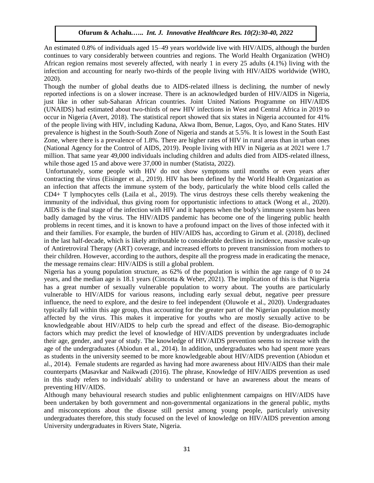An estimated 0.8% of individuals aged 15–49 years worldwide live with HIV/AIDS, although the burden continues to vary considerably between countries and regions. The World Health Organization (WHO) African region remains most severely affected, with nearly 1 in every 25 adults (4.1%) living with the infection and accounting for nearly two-thirds of the people living with HIV/AIDS worldwide (WHO, 2020).

Though the number of global deaths due to AIDS-related illness is declining, the number of newly reported infections is on a slower increase. There is an acknowledged burden of HIV/AIDS in Nigeria, just like in other sub-Saharan African countries. Joint United Nations Programme on HIV/AIDS (UNAIDS) had estimated about two-thirds of new HIV infections in West and Central Africa in 2019 to occur in Nigeria (Avert, 2018). The statistical report showed that six states in Nigeria accounted for 41% of the people living with HIV, including Kaduna, Akwa Ibom, Benue, Lagos, Oyo, and Kano States. HIV prevalence is highest in the South-South Zone of Nigeria and stands at 5.5%. It is lowest in the South East Zone, where there is a prevalence of 1.8%. There are higher rates of HIV in rural areas than in urban ones (National Agency for the Control of AIDS, 2019). People living with HIV in Nigeria as at 2021 were 1.7 million. That same year 49,000 individuals including children and adults died from AIDS-related illness, while those aged 15 and above were 37,000 in number (Statista, 2022).

Unfortunately, some people with HIV do not show symptoms until months or even years after contracting the virus (Eisinger et al., 2019). HIV has been defined by the World Health Organization as an infection that affects the immune system of the body, particularly the white blood cells called the CD4+ T lymphocytes cells (Laila et al., 2019). The virus destroys these cells thereby weakening the immunity of the individual, thus giving room for opportunistic infections to attack (Wong et al., 2020). AIDS is the final stage of the infection with HIV and it happens when the body's immune system has been badly damaged by the virus. The HIV/AIDS pandemic has become one of the lingering public health problems in recent times, and it is known to have a profound impact on the lives of those infected with it and their families. For example, the burden of HIV/AIDS has, according to Girum et al. (2018), declined in the last half-decade, which is likely attributable to considerable declines in incidence, massive scale-up of Antiretroviral Therapy (ART) coverage, and increased efforts to prevent transmission from mothers to their children. However, according to the authors, despite all the progress made in eradicating the menace, the message remains clear: HIV/AIDS is still a global problem.

Nigeria has a young population structure, as 62% of the population is within the age range of 0 to 24 years, and the median age is 18.1 years (Cincotta & Weber, 2021). The implication of this is that Nigeria has a great number of sexually vulnerable population to worry about. The youths are particularly vulnerable to HIV/AIDS for various reasons, including early sexual debut, negative peer pressure influence, the need to explore, and the desire to feel independent (Oluwole et al., 2020). Undergraduates typically fall within this age group, thus accounting for the greater part of the Nigerian population mostly affected by the virus. This makes it imperative for youths who are mostly sexually active to be knowledgeable about HIV/AIDS to help curb the spread and effect of the disease. Bio-demographic factors which may predict the level of knowledge of HIV/AIDS prevention by undergraduates include their age, gender, and year of study. The knowledge of HIV/AIDS prevention seems to increase with the age of the undergraduates (Abiodun et al., 2014). In addition, undergraduates who had spent more years as students in the university seemed to be more knowledgeable about HIV/AIDS prevention (Abiodun et al., 2014). Female students are regarded as having had more awareness about HIV/AIDS than their male counterparts (Masavkar and Naikwadi (2016). The phrase, Knowledge of HIV/AIDS prevention as used in this study refers to individuals' ability to understand or have an awareness about the means of preventing HIV/AIDS.

Although many behavioural research studies and public enlightenment campaigns on HIV/AIDS have been undertaken by both government and non-governmental organizations in the general public, myths and misconceptions about the disease still persist among young people, particularly university undergraduates therefore, this study focused on the level of knowledge on HIV/AIDS prevention among University undergraduates in Rivers State, Nigeria.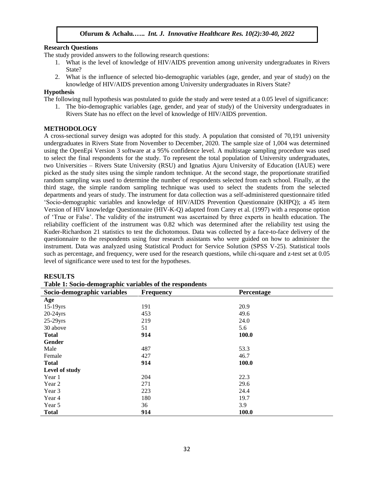### **Research Questions**

The study provided answers to the following research questions:

- 1. What is the level of knowledge of HIV/AIDS prevention among university undergraduates in Rivers State?
- 2. What is the influence of selected bio-demographic variables (age, gender, and year of study) on the knowledge of HIV/AIDS prevention among University undergraduates in Rivers State?

### **Hypothesis**

The following null hypothesis was postulated to guide the study and were tested at a 0.05 level of significance:

1. The bio-demographic variables (age, gender, and year of study) of the University undergraduates in Rivers State has no effect on the level of knowledge of HIV/AIDS prevention.

### **METHODOLOGY**

A cross-sectional survey design was adopted for this study. A population that consisted of 70,191 university undergraduates in Rivers State from November to December, 2020. The sample size of 1,004 was determined using the OpenEpi Version 3 software at a 95% confidence level. A multistage sampling procedure was used to select the final respondents for the study. To represent the total population of University undergraduates, two Universities – Rivers State University (RSU) and Ignatius Ajuru University of Education (IAUE) were picked as the study sites using the simple random technique. At the second stage, the proportionate stratified random sampling was used to determine the number of respondents selected from each school. Finally, at the third stage, the simple random sampling technique was used to select the students from the selected departments and years of study. The instrument for data collection was a self-administered questionnaire titled 'Socio-demographic variables and knowledge of HIV/AIDS Prevention Questionnaire (KHPQ); a 45 item Version of HIV knowledge Questionnaire (HIV-K-Q) adapted from Carey et al. (1997) with a response option of 'True or False'. The validity of the instrument was ascertained by three experts in health education. The reliability coefficient of the instrument was 0.82 which was determined after the reliability test using the Kuder-Richardson 21 statistics to test the dichotomous. Data was collected by a face-to-face delivery of the questionnaire to the respondents using four research assistants who were guided on how to administer the instrument. Data was analyzed using Statistical Product for Service Solution (SPSS V-25). Statistical tools such as percentage, and frequency, were used for the research questions, while chi-square and z-test set at 0.05 level of significance were used to test for the hypotheses.

# **Socio-demographic variables Frequency Percentage Age**  15-19yrs 20.9 20-24yrs 453 49.6 25-29yrs 219 24.0  $30 \text{ above}$   $51$   $5.6$ **Total 914 100.0 Gender**  Male 487 53.3 Female 427 46.7 **Total 914 100.0 Level of study** Year 1 204 22.3 Year 2 29.6 Year 3 223 24.4 Year 4 180 19.7 Year 5 36 3.9 **Total 914 100.0**

#### **RESULTS**

**Table 1: Socio-demographic variables of the respondents**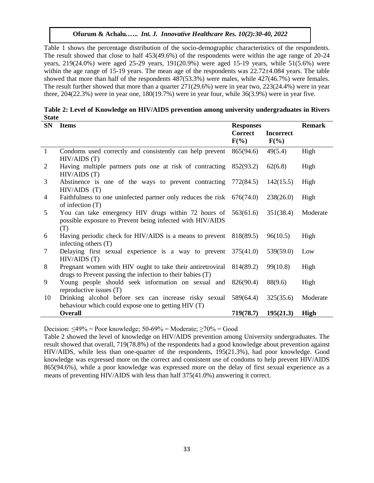Table 1 shows the percentage distribution of the socio-demographic characteristics of the respondents. The result showed that close to half 453(49.6%) of the respondents were within the age range of 20-24 years, 219(24.0%) were aged 25-29 years, 191(20.9%) were aged 15-19 years, while 51(5.6%) were within the age range of 15-19 years. The mean age of the respondents was  $22.72\pm4.084$  years. The table showed that more than half of the respondents 487(53.3%) were males, while 427(46.7%) were females. The result further showed that more than a quarter 271(29.6%) were in year two, 223(24.4%) were in year three, 204(22.3%) were in year one, 180(19.7%) were in year four, while 36(3.9%) were in year five.

| Table 2: Level of Knowledge on HIV/AIDS prevention among university undergraduates in Rivers |  |
|----------------------------------------------------------------------------------------------|--|
| <b>State</b>                                                                                 |  |

| <b>SN</b>    | <b>Items</b>                                                                                                             | <b>Responses</b>          | <b>Remark</b>               |             |
|--------------|--------------------------------------------------------------------------------------------------------------------------|---------------------------|-----------------------------|-------------|
|              |                                                                                                                          | <b>Correct</b><br>$F(\%)$ | <b>Incorrect</b><br>$F(\%)$ |             |
| $\mathbf{1}$ | Condoms used correctly and consistently can help prevent<br>HIV/AIDS (T)                                                 | 865(94.6)                 | 49(5.4)                     | High        |
| 2            | Having multiple partners puts one at risk of contracting<br>HIV/AIDS (T)                                                 | 852(93.2)                 | 62(6.8)                     | High        |
| 3            | Abstinence is one of the ways to prevent contracting<br>HIV/AIDS(T)                                                      | 772(84.5)                 | 142(15.5)                   | High        |
| 4            | Faithfulness to one uninfected partner only reduces the risk<br>of infection $(T)$                                       | 676(74.0)                 | 238(26.0)                   | High        |
| 5            | You can take emergency HIV drugs within 72 hours of<br>possible exposure to Prevent being infected with HIV/AIDS<br>(T)  | 563(61.6)                 | 351(38.4)                   | Moderate    |
| 6            | Having periodic check for HIV/AIDS is a means to prevent<br>infecting others $(T)$                                       | 818(89.5)                 | 96(10.5)                    | High        |
| 7            | Delaying first sexual experience is a way to prevent<br>HIV/AIDS (T)                                                     | 375(41.0)                 | 539(59.0)                   | Low         |
| 8            | Pregnant women with HIV ought to take their antiretroviral<br>drugs to Prevent passing the infection to their babies (T) | 814(89.2)                 | 99(10.8)                    | High        |
| 9            | Young people should seek information on sexual and<br>reproductive issues (T)                                            | 826(90.4)                 | 88(9.6)                     | High        |
| 10           | Drinking alcohol before sex can increase risky sexual<br>behaviour which could expose one to getting HIV (T)             | 589(64.4)                 | 325(35.6)                   | Moderate    |
|              | <b>Overall</b>                                                                                                           | 719(78.7)                 | 195(21.3)                   | <b>High</b> |

Decision:  $\leq 49\%$  = Poor knowledge; 50-69% = Moderate;  $\geq 70\%$  = Good

Table 2 showed the level of knowledge on HIV/AIDS prevention among University undergraduates. The result showed that overall, 719(78.8%) of the respondents had a good knowledge about prevention against HIV/AIDS, while less than one-quarter of the respondents, 195(21.3%), had poor knowledge. Good knowledge was expressed more on the correct and consistent use of condoms to help prevent HIV/AIDS 865(94.6%), while a poor knowledge was expressed more on the delay of first sexual experience as a means of preventing HIV/AIDS with less than half 375(41.0%) answering it correct.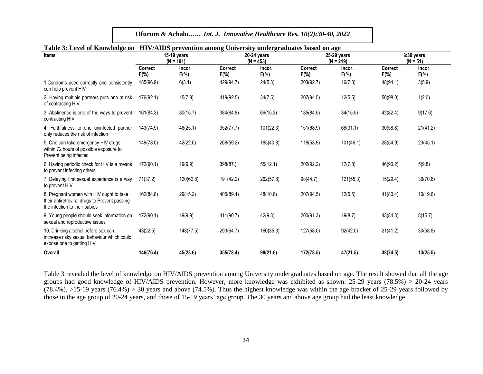**Ofurum & Achalu***.***…..** *Int. J. Innovative Healthcare Res. 10(2):30-40, 2022*

|                                                                                                                            | Table 3: Level of Knowledge on HIV/AIDS prevention among University undergraduates based on age |                            |                            |                            |                           |                            |                               |                   |  |  |  |  |
|----------------------------------------------------------------------------------------------------------------------------|-------------------------------------------------------------------------------------------------|----------------------------|----------------------------|----------------------------|---------------------------|----------------------------|-------------------------------|-------------------|--|--|--|--|
| <b>Items</b>                                                                                                               |                                                                                                 | 15-19 years<br>$(N = 191)$ |                            | 20-24 years<br>$(N = 453)$ |                           | 25-29 years<br>$(N = 219)$ | $\geq$ 30 years<br>$(N = 51)$ |                   |  |  |  |  |
|                                                                                                                            | <b>Correct</b><br>$F(\% )$                                                                      | Incor.<br>$F(\% )$         | <b>Correct</b><br>$F(\% )$ | Incor.<br>$F(\%)$          | <b>Correct</b><br>$F(\%)$ | Incor.<br>$F(\% )$         | <b>Correct</b><br>$F(\%)$     | Incor.<br>$F(\%)$ |  |  |  |  |
| 1. Condoms used correctly and consistently<br>can help prevent HIV                                                         | 185(96.9)                                                                                       | 6(3.1)                     | 429(94.7)                  | 24(5.3)                    | 203(92.7)                 | 16(7.3)                    | 48(94.1)                      | 3(5.9)            |  |  |  |  |
| 2. Having multiple partners puts one at risk<br>of contracting HIV                                                         | 176(92.1)                                                                                       | 15(7.9)                    | 419(92.5)                  | 34(7.5)                    | 207(94.5)                 | 12(5.5)                    | 50(98.0)                      | 1(2.0)            |  |  |  |  |
| 3. Abstinence is one of the ways to prevent<br>contracting HIV                                                             | 161(84.3)                                                                                       | 30(15.7)                   | 384(84.8)                  | 69(15.2)                   | 185(84.5)                 | 34(15.5)                   | 42(82.4)                      | 9(17.6)           |  |  |  |  |
| 4. Faithfulness to one uninfected partner<br>only reduces the risk of infection                                            | 143(74.9)                                                                                       | 48(25.1)                   | 352(77.7)                  | 101(22.3)                  | 151(68.9)                 | 68(31.1)                   | 30(58.8)                      | 21(41.2)          |  |  |  |  |
| 5. One can take emergency HIV drugs<br>within 72 hours of possible exposure to<br>Prevent being infected                   | 149(78.0)                                                                                       | 42(22.0)                   | 268(59.2)                  | 185(40.8)                  | 118(53.9)                 | 101(46.1)                  | 28(54.9)                      | 23(45.1)          |  |  |  |  |
| 6. Having periodic check for HIV is a means<br>to prevent infecting others                                                 | 172(90.1)                                                                                       | 19(9.9)                    | 398(87.)                   | 55(12.1)                   | 202(92.2)                 | 17(7.8)                    | 46(90.2)                      | 5(9.8)            |  |  |  |  |
| 7. Delaying first sexual experience is a way<br>to prevent HIV                                                             | 71(37.2)                                                                                        | 120(62.8)                  | 191(42.2)                  | 262(57.8)                  | 98(44.7)                  | 121(55.3)                  | 15(29.4)                      | 36(70.6)          |  |  |  |  |
| 8. Pregnant women with HIV ought to take<br>their antiretroviral drugs to Prevent passing<br>the infection to their babies | 162(84.8)                                                                                       | 29(15.2)                   | 405(89.4)                  | 48(10.6)                   | 207(94.5)                 | 12(5.5)                    | 41(80.4)                      | 10(19.6)          |  |  |  |  |
| 9. Young people should seek information on<br>sexual and reproductive issues                                               | 172(90.1)                                                                                       | 19(9.9)                    | 411(90.7)                  | 42(9.3)                    | 200(91.3)                 | 19(8.7)                    | 43(84.3)                      | 8(15.7)           |  |  |  |  |
| 10. Drinking alcohol before sex can<br>increase risky sexual behaviour which could<br>expose one to getting HIV            | 43(22.5)                                                                                        | 148(77.5)                  | 293(64.7)                  | 160(35.3)                  | 127(58.0)                 | 92(42.0)                   | 21(41.2)                      | 30(58.8)          |  |  |  |  |
| Overall                                                                                                                    | 146(76.4)                                                                                       | 45(23.6)                   | 355(78.4)                  | 98(21.6)                   | 172(78.5)                 | 47(21.5)                   | 38(74.5)                      | 13(25.5)          |  |  |  |  |

# **Table 3: Level of Knowledge on HIV/AIDS prevention among University undergraduates based on age**

Table 3 revealed the level of knowledge on HIV/AIDS prevention among University undergraduates based on age. The result showed that all the age groups had good knowledge of HIV/AIDS prevention. However, more knowledge was exhibited as shown: 25-29 years (78.5%) > 20-24 years  $(78.4\%)$ ,  $>15-19$  years  $(76.4\%)$   $> 30$  years and above  $(74.5\%)$ . Thus the highest knowledge was within the age bracket of 25-29 years followed by those in the age group of 20-24 years, and those of 15-19 years' age group. The 30 years and above age group had the least knowledge.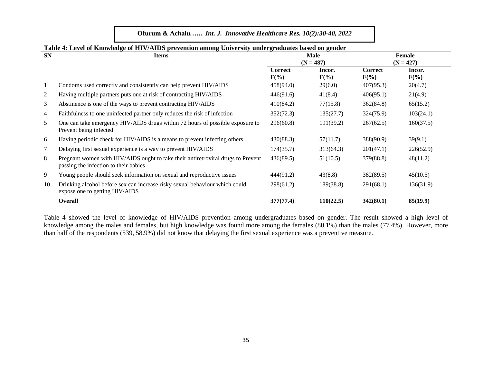| <b>SN</b>      | <b>Items</b>                                                                                                              |                    | Male<br>$(N = 487)$ |                           | <b>Female</b><br>$(N = 427)$ |  |  |
|----------------|---------------------------------------------------------------------------------------------------------------------------|--------------------|---------------------|---------------------------|------------------------------|--|--|
|                |                                                                                                                           | Correct<br>$F(\%)$ | Incor.<br>$F(\%)$   | <b>Correct</b><br>$F(\%)$ | Incor.<br>$F(\%)$            |  |  |
| 1              | Condoms used correctly and consistently can help prevent HIV/AIDS                                                         | 458(94.0)          | 29(6.0)             | 407(95.3)                 | 20(4.7)                      |  |  |
| $\overline{2}$ | Having multiple partners puts one at risk of contracting HIV/AIDS                                                         | 446(91.6)          | 41(8.4)             | 406(95.1)                 | 21(4.9)                      |  |  |
| 3              | Abstinence is one of the ways to prevent contracting HIV/AIDS                                                             | 410(84.2)          | 77(15.8)            | 362(84.8)                 | 65(15.2)                     |  |  |
| $\overline{4}$ | Faithfulness to one uninfected partner only reduces the risk of infection                                                 | 352(72.3)          | 135(27.7)           | 324(75.9)                 | 103(24.1)                    |  |  |
| 5              | One can take emergency HIV/AIDS drugs within 72 hours of possible exposure to<br>Prevent being infected                   | 296(60.8)          | 191(39.2)           | 267(62.5)                 | 160(37.5)                    |  |  |
| 6              | Having periodic check for HIV/AIDS is a means to prevent infecting others                                                 | 430(88.3)          | 57(11.7)            | 388(90.9)                 | 39(9.1)                      |  |  |
| 7              | Delaying first sexual experience is a way to prevent HIV/AIDS                                                             | 174(35.7)          | 313(64.3)           | 201(47.1)                 | 226(52.9)                    |  |  |
| 8              | Pregnant women with HIV/AIDS ought to take their antiretroviral drugs to Prevent<br>passing the infection to their babies | 436(89.5)          | 51(10.5)            | 379(88.8)                 | 48(11.2)                     |  |  |
| 9              | Young people should seek information on sexual and reproductive issues                                                    | 444(91.2)          | 43(8.8)             | 382(89.5)                 | 45(10.5)                     |  |  |
| 10             | Drinking alcohol before sex can increase risky sexual behaviour which could<br>expose one to getting HIV/AIDS             | 298(61.2)          | 189(38.8)           | 291(68.1)                 | 136(31.9)                    |  |  |
|                | <b>Overall</b>                                                                                                            | 377(77.4)          | 110(22.5)           | 342(80.1)                 | 85(19.9)                     |  |  |

# **Table 4: Level of Knowledge of HIV/AIDS prevention among University undergraduates based on gender**

Table 4 showed the level of knowledge of HIV/AIDS prevention among undergraduates based on gender. The result showed a high level of knowledge among the males and females, but high knowledge was found more among the females (80.1%) than the males (77.4%). However, more than half of the respondents (539, 58.9%) did not know that delaying the first sexual experience was a preventive measure.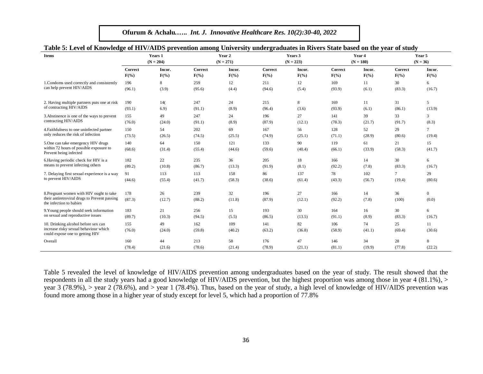| Table 5: Level of Knowledge of HIV/AIDS prevention among University undergraduates in Rivers State based on the year of study |               |              |                |               |                |              |                |              |              |                         |
|-------------------------------------------------------------------------------------------------------------------------------|---------------|--------------|----------------|---------------|----------------|--------------|----------------|--------------|--------------|-------------------------|
| <b>Items</b>                                                                                                                  | Years 1       |              |                | Year 2        |                | Years 3      |                | Year 4       |              | Year 5                  |
|                                                                                                                               |               | $(N = 204)$  |                | $(N = 271)$   |                | $(N = 223)$  |                | $(N = 180)$  |              | $(N = 36)$              |
|                                                                                                                               | Correct       | Incor.       | <b>Correct</b> | Incor.        | <b>Correct</b> | Incor.       | <b>Correct</b> | Incor.       | Correct      | Incor.                  |
|                                                                                                                               | $F(\% )$      | $F(\%)$      | $F(\%)$        | $F(\%)$       | $F(\%)$        | $F(\%)$      | $F(\% )$       | $F(\%)$      | $F(\%)$      | $F(\%)$                 |
| 1. Condoms used correctly and consistently                                                                                    | 196           | 8            | 259            | 12            | 211            | 12           | 169            | 11           | 30           | 6                       |
| can help prevent HIV/AIDS                                                                                                     | (96.1)        | (3.9)        | (95.6)         | (4.4)         | (94.6)         | (5.4)        | (93.9)         | (6.1)        | (83.3)       | (16.7)                  |
| 2. Having multiple partners puts one at risk                                                                                  | 190           | 14(          | 247            | 24            | 215            | 8            | 169            | 11           | 31           | 5                       |
| of contracting HIV/AIDS                                                                                                       | (93.1)        | 6.9)         | (91.1)         | (8.9)         | (96.4)         | (3.6)        | (93.9)         | (6.1)        | (86.1)       | (13.9)                  |
| 3. Abstinence is one of the ways to prevent                                                                                   | 155           | 49           | 247            | 24            | 196            | 27           | 141            | 39           | 33           | 3                       |
| contracting HIV/AIDS                                                                                                          | (76.0)        | (24.0)       | (91.1)         | (8.9)         | (87.9)         | (12.1)       | (78.3)         | (21.7)       | (91.7)       | (8.3)                   |
| 4. Faithfulness to one uninfected partner                                                                                     | 150           | 54           | 202            | 69            | 167            | 56           | 128            | 52           | 29           | $\tau$                  |
| only reduces the risk of infection                                                                                            | (73.5)        | (26.5)       | (74.5)         | (25.5)        | (74.9)         | (25.1)       | (71.1)         | (28.9)       | (80.6)       | (19.4)                  |
| 5. One can take emergency HIV drugs<br>within 72 hours of possible exposure to<br>Prevent being infected                      | 140<br>(68.6) | 64<br>(31.4) | 150<br>(55.4)  | 121<br>(44.6) | 133<br>(59.6)  | 90<br>(40.4) | 119<br>(66.1)  | 61<br>(33.9) | 21<br>(58.3) | 15<br>(41.7)            |
| 6. Having periodic check for HIV is a                                                                                         | 182           | 22           | 235            | 36            | 205            | 18           | 166            | 14           | 30           | 6                       |
| means to prevent infecting others                                                                                             | (89.2)        | (10.8)       | (86.7)         | (13.3)        | (91.9)         | (8.1)        | (92.2)         | (7.8)        | (83.3)       | (16.7)                  |
| 7. Delaying first sexual experience is a way                                                                                  | 91            | 113          | 113            | 158           | 86             | 137          | 78             | 102          | $\tau$       | 29                      |
| to prevent HIV/AIDS                                                                                                           | (44.6)        | (55.4)       | (41.7)         | (58.3)        | (38.6)         | (61.4)       | (43.3)         | (56.7)       | (19.4)       | (80.6)                  |
| 8. Pregnant women with HIV ought to take<br>their antiretroviral drugs to Prevent passing<br>the infection to babies          | 178<br>(87.3) | 26<br>(12.7) | 239<br>(88.2)  | 32<br>(11.8)  | 196<br>(87.9)  | 27<br>(12.1) | 166<br>(92.2)  | 14<br>(7.8)  | 36<br>(100)  | $\overline{0}$<br>(0.0) |
| 9. Young people should seek information                                                                                       | 183           | 21           | 256            | 15            | 193            | 30           | 164            | 16           | 30           | 6                       |
| on sexual and reproductive issues                                                                                             | (89.7)        | (10.3)       | (94.5)         | (5.5)         | (86.5)         | (13.5)       | (91.1)         | (8.9)        | (83.3)       | (16.7)                  |
| 10. Drinking alcohol before sex can<br>increase risky sexual behaviour which<br>could expose one to getting HIV               | 155<br>(76.0) | 49<br>(24.0) | 162<br>(59.8)  | 109<br>(40.2) | 141<br>(63.2)  | 82<br>(36.8) | 106<br>(58.9)  | 74<br>(41.1) | 25<br>(69.4) | 11<br>(30.6)            |
| Overall                                                                                                                       | 160           | 44           | 213            | 58            | 176            | 47           | 146            | 34           | 28           | 8                       |
|                                                                                                                               | (78.4)        | (21.6)       | (78.6)         | (21.4)        | (78.9)         | (21.1)       | (81.1)         | (19.9)       | (77.8)       | (22.2)                  |

Table 5 revealed the level of knowledge of HIV/AIDS prevention among undergraduates based on the year of study. The result showed that the respondents in all the study years had a good knowledge of HIV/AIDS prevention, but the highest proportion was among those in year 4 (81.1%), > year 3 (78.9%), > year 2 (78.6%), and > year 1 (78.4%). Thus, based on the year of study, a high level of knowledge of HIV/AIDS prevention was found more among those in a higher year of study except for level 5, which had a proportion of 77.8%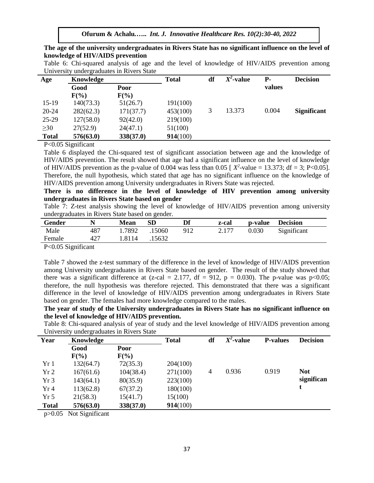**The age of the university undergraduates in Rivers State has no significant influence on the level of knowledge of HIV/AIDS prevention**

|  | Table 6: Chi-squared analysis of age and the level of knowledge of HIV/AIDS prevention among |  |  |  |  |  |  |
|--|----------------------------------------------------------------------------------------------|--|--|--|--|--|--|
|  | University undergraduates in Rivers State                                                    |  |  |  |  |  |  |

| Age          | Knowledge |           | <b>Total</b> | df | $X^2\mathbf{\text{-}value}$ | Р.     | <b>Decision</b>    |
|--------------|-----------|-----------|--------------|----|-----------------------------|--------|--------------------|
|              | Good      | Poor      |              |    |                             | values |                    |
|              | $F(\%)$   | $F(\%)$   |              |    |                             |        |                    |
| $15-19$      | 140(73.3) | 51(26.7)  | 191(100)     |    |                             |        |                    |
| 20-24        | 282(62.3) | 171(37.7) | 453(100)     | 3  | 13.373                      | 0.004  | <b>Significant</b> |
| 25-29        | 127(58.0) | 92(42.0)  | 219(100)     |    |                             |        |                    |
| $\geq 30$    | 27(52.9)  | 24(47.1)  | 51(100)      |    |                             |        |                    |
| <b>Total</b> | 576(63.0) | 338(37.0) | 914(100)     |    |                             |        |                    |
| _ _ _ _ _    | $\sim$    |           |              |    |                             |        |                    |

P<0.05 Significant

Table 6 displayed the Chi-squared test of significant association between age and the knowledge of HIV/AIDS prevention. The result showed that age had a significant influence on the level of knowledge of HIV/AIDS prevention as the p-value of 0.004 was less than 0.05 [ $X^2$ -value = 13.373; df = 3; P<0.05]. Therefore, the null hypothesis, which stated that age has no significant influence on the knowledge of HIV/AIDS prevention among University undergraduates in Rivers State was rejected.

**There is no difference in the level of knowledge of HIV prevention among university undergraduates in Rivers State based on gender**

Table 7: Z-test analysis showing the level of knowledge of HIV/AIDS prevention among university undergraduates in Rivers State based on gender.

| Gender                                                                                                                                                                                                                                                                                                                                                                                                                                                                                |     | Mean   | SD     | Df  | z-cal | p-value | <b>Decision</b> |  |
|---------------------------------------------------------------------------------------------------------------------------------------------------------------------------------------------------------------------------------------------------------------------------------------------------------------------------------------------------------------------------------------------------------------------------------------------------------------------------------------|-----|--------|--------|-----|-------|---------|-----------------|--|
| Male                                                                                                                                                                                                                                                                                                                                                                                                                                                                                  | 487 | 1.7892 | .15060 | 912 | 2.177 | 0.030   | Significant     |  |
| Female                                                                                                                                                                                                                                                                                                                                                                                                                                                                                | 427 | 1.8114 | 15632  |     |       |         |                 |  |
| $\mathbf{D} \cdot \mathbf{A} \cdot \mathbf{A} \cdot \mathbf{A} \cdot \mathbf{A} \cdot \mathbf{A} \cdot \mathbf{A} \cdot \mathbf{A} \cdot \mathbf{A} \cdot \mathbf{A} \cdot \mathbf{A} \cdot \mathbf{A} \cdot \mathbf{A} \cdot \mathbf{A} \cdot \mathbf{A} \cdot \mathbf{A} \cdot \mathbf{A} \cdot \mathbf{A} \cdot \mathbf{A} \cdot \mathbf{A} \cdot \mathbf{A} \cdot \mathbf{A} \cdot \mathbf{A} \cdot \mathbf{A} \cdot \mathbf{A} \cdot \mathbf{A} \cdot \mathbf{A} \cdot \mathbf{$ |     |        |        |     |       |         |                 |  |

P<0.05 Significant

Table 7 showed the z-test summary of the difference in the level of knowledge of HIV/AIDS prevention among University undergraduates in Rivers State based on gender. The result of the study showed that there was a significant difference at (z-cal = 2.177, df = 912,  $p = 0.030$ ). The p-value was p<0.05; therefore, the null hypothesis was therefore rejected. This demonstrated that there was a significant difference in the level of knowledge of HIV/AIDS prevention among undergraduates in Rivers State based on gender. The females had more knowledge compared to the males.

**The year of study of the University undergraduates in Rivers State has no significant influence on the level of knowledge of HIV/AIDS prevention.**

Table 8: Chi-squared analysis of year of study and the level knowledge of HIV/AIDS prevention among University undergraduates in Rivers State

| Year            | ັ<br>Knowledge |           | <b>Total</b> | df | $X^2$ -value | <b>P-values</b> | <b>Decision</b> |
|-----------------|----------------|-----------|--------------|----|--------------|-----------------|-----------------|
|                 | Good           | Poor      |              |    |              |                 |                 |
|                 | $F(\%)$        | $F(\%)$   |              |    |              |                 |                 |
| Yr1             | 132(64.7)      | 72(35.3)  | 204(100)     |    |              |                 |                 |
| Yr <sub>2</sub> | 167(61.6)      | 104(38.4) | 271(100)     | 4  | 0.936        | 0.919           | <b>Not</b>      |
| Yr3             | 143(64.1)      | 80(35.9)  | 223(100)     |    |              |                 | significan      |
| Yr4             | 113(62.8)      | 67(37.2)  | 180(100)     |    |              |                 |                 |
| Yr <sub>5</sub> | 21(58.3)       | 15(41.7)  | 15(100)      |    |              |                 |                 |
| <b>Total</b>    | 576(63.0)      | 338(37.0) | 914(100)     |    |              |                 |                 |

p>0.05 Not Significant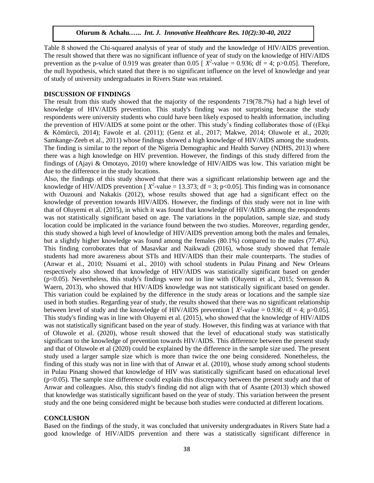Table 8 showed the Chi-squared analysis of year of study and the knowledge of HIV/AIDS prevention. The result showed that there was no significant influence of year of study on the knowledge of HIV/AIDS prevention as the p-value of 0.919 was greater than 0.05 [ $X^2$ -value = 0.936; df = 4; p>0.05]. Therefore, the null hypothesis, which stated that there is no significant influence on the level of knowledge and year of study of university undergraduates in Rivers State was retained.

### **DISCUSSION OF FINDINGS**

The result from this study showed that the majority of the respondents 719(78.7%) had a high level of knowledge of HIV/AIDS prevention. This study's finding was not surprising because the study respondents were university students who could have been likely exposed to health information, including the prevention of HIV/AIDS at some point or the other. This study's finding collaborates those of ((Ekşi & Kömürcü, 2014); Fawole et al. (2011); (Genz et al., 2017; Makwe, 2014; Oluwole et al., 2020; Samkange-Zeeb et al., 2011) whose findings showed a high knowledge of HIV/AIDS among the students. The finding is similar to the report of the Nigeria Demographic and Health Survey (NDHS, 2013) where there was a high knowledge on HIV prevention. However, the findings of this study differed from the findings of (Ajayi & Omotayo, 2010) where knowledge of HIV/AIDS was low. This variation might be due to the difference in the study locations.

Also, the findings of this study showed that there was a significant relationship between age and the knowledge of HIV/AIDS prevention [ $X^2$ -value = 13.373; df = 3; p<0.05]. This finding was in consonance with Ouzouni and Nakakis (2012), whose results showed that age had a significant effect on the knowledge of prevention towards HIV/AIDS. However, the findings of this study were not in line with that of Oluyemi et al. (2015), in which it was found that knowledge of HIV/AIDS among the respondents was not statistically significant based on age. The variations in the population, sample size, and study location could be implicated in the variance found between the two studies. Moreover, regarding gender, this study showed a high level of knowledge of HIV/AIDS prevention among both the males and females, but a slightly higher knowledge was found among the females (80.1%) compared to the males (77.4%). This finding corroborates that of Masavkar and Naikwadi (2016), whose study showed that female students had more awareness about STIs and HIV/AIDS than their male counterparts. The studies of (Anwar et al., 2010; Nsuami et al., 2010) with school students in Pulau Pinang and New Orleans respectively also showed that knowledge of HIV/AIDS was statistically significant based on gender  $(p<0.05)$ . Nevertheless, this study's findings were not in line with (Oluyemi et al., 2015; Svensson & Waern, 2013), who showed that HIV/AIDS knowledge was not statistically significant based on gender. This variation could be explained by the difference in the study areas or locations and the sample size used in both studies. Regarding year of study, the results showed that there was no significant relationship between level of study and the knowledge of HIV/AIDS prevention [ $X^2$ -value = 0.936; df = 4; p>0.05]. This study's finding was in line with Oluyemi et al. (2015), who showed that the knowledge of HIV/AIDS was not statistically significant based on the year of study. However, this finding was at variance with that of Oluwole et al. (2020), whose result showed that the level of educational study was statistically significant to the knowledge of prevention towards HIV/AIDS. This difference between the present study and that of Oluwole et al (2020) could be explained by the difference in the sample size used. The present study used a larger sample size which is more than twice the one being considered. Nonetheless, the finding of this study was not in line with that of Anwar et al. (2010), whose study among school students in Pulau Pinang showed that knowledge of HIV was statistically significant based on educational level (p<0.05). The sample size difference could explain this discrepancy between the present study and that of Anwar and colleagues. Also, this study's finding did not align with that of Asante (2013) which showed that knowledge was statistically significant based on the year of study. This variation between the present study and the one being considered might be because both studies were conducted at different locations.

### **CONCLUSION**

Based on the findings of the study, it was concluded that university undergraduates in Rivers State had a good knowledge of HIV/AIDS prevention and there was a statistically significant difference in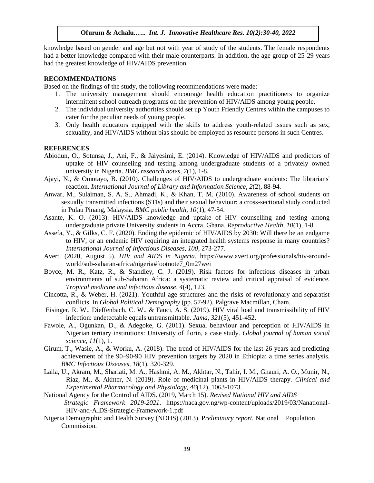knowledge based on gender and age but not with year of study of the students. The female respondents had a better knowledge compared with their male counterparts. In addition, the age group of 25-29 years had the greatest knowledge of HIV/AIDS prevention.

### **RECOMMENDATIONS**

Based on the findings of the study, the following recommendations were made:

- 1. The university management should encourage health education practitioners to organize intermittent school outreach programs on the prevention of HIV/AIDS among young people.
- 2. The individual university authorities should set up Youth Friendly Centres within the campuses to cater for the peculiar needs of young people.
- 3. Only health educators equipped with the skills to address youth-related issues such as sex, sexuality, and HIV/AIDS without bias should be employed as resource persons in such Centres.

### **REFERENCES**

- Abiodun, O., Sotunsa, J., Ani, F., & Jaiyesimi, E. (2014). Knowledge of HIV/AIDS and predictors of uptake of HIV counseling and testing among undergraduate students of a privately owned university in Nigeria. *BMC research notes*, *7*(1), 1-8.
- Ajayi, N., & Omotayo, B. (2010). Challenges of HIV/AIDS to undergraduate students: The librarians' reaction. *International Journal of Library and Information Science, 2*(2), 88-94.
- Anwar, M., Sulaiman, S. A. S., Ahmadi, K., & Khan, T. M. (2010). Awareness of school students on sexually transmitted infections (STIs) and their sexual behaviour: a cross-sectional study conducted in Pulau Pinang, Malaysia. *BMC public health, 10*(1), 47-54.
- Asante, K. O. (2013). HIV/AIDS knowledge and uptake of HIV counselling and testing among undergraduate private University students in Accra, Ghana. *Reproductive Health, 10*(1), 1-8.
- Assefa, Y., & Gilks, C. F. (2020). Ending the epidemic of HIV/AIDS by 2030: Will there be an endgame to HIV, or an endemic HIV requiring an integrated health systems response in many countries? *International Journal of Infectious Diseases, 100*, 273-277.
- Avert. (2020, August 5). *HIV and AIDS in Nigeria*. https://www.avert.org/professionals/hiv-aroundworld/sub-saharan-africa/nigeria#footnote7\_0m27wei
- Boyce, M. R., Katz, R., & Standley, C. J. (2019). Risk factors for infectious diseases in urban environments of sub-Saharan Africa: a systematic review and critical appraisal of evidence. *Tropical medicine and infectious disease, 4*(4), 123.
- Cincotta, R., & Weber, H. (2021). Youthful age structures and the risks of revolutionary and separatist conflicts. In *Global Political Demography* (pp. 57-92). Palgrave Macmillan, Cham.
- Eisinger, R. W., Dieffenbach, C. W., & Fauci, A. S. (2019). HIV viral load and transmissibility of HIV infection: undetectable equals untransmittable. *Jama, 321*(5), 451-452.
- Fawole, A., Ogunkan, D., & Adegoke, G. (2011). Sexual behaviour and perception of HIV/AIDS in Nigerian tertiary institutions: University of Ilorin, a case study. *Global journal of human social science, 11*(1), 1.
- Girum, T., Wasie, A., & Worku, A. (2018). The trend of HIV/AIDS for the last 26 years and predicting achievement of the 90–90-90 HIV prevention targets by 2020 in Ethiopia: a time series analysis. *BMC Infectious Diseases, 18*(1), 320-329.
- Laila, U., Akram, M., Shariati, M. A., Hashmi, A. M., Akhtar, N., Tahir, I. M., Ghauri, A. O., Munir, N., Riaz, M., & Akhter, N. (2019). Role of medicinal plants in HIV/AIDS therapy. *Clinical and Experimental Pharmacology and Physiology, 46*(12), 1063-1073.
- National Agency for the Control of AIDS. (2019, March 15). *Revised National HIV and AIDS Strategic Framework 2019-2021*. https://naca.gov.ng/wp-content/uploads/2019/03/Nanational-HIV-and-AIDS-Strategic-Framework-1.pdf
- Nigeria Demographic and Health Survey (NDHS) (2013). P*reliminary report.* National Population Commission.